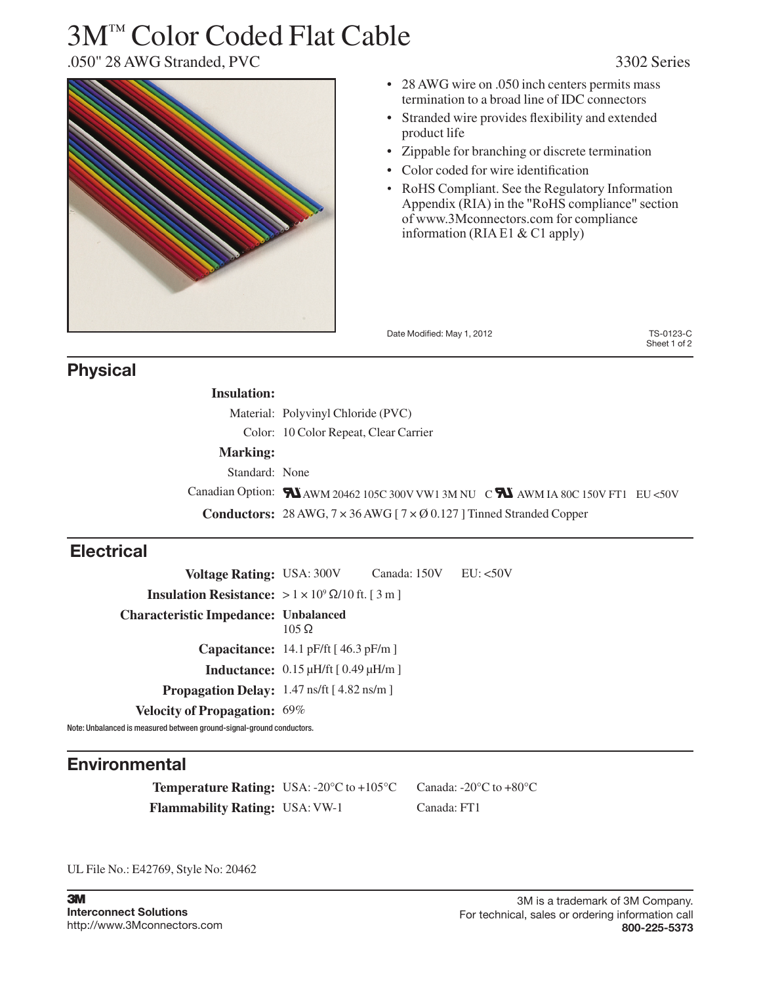# 3M™ Color Coded Flat Cable



- 28 AWG wire on .050 inch centers permits mass termination to a broad line of IDC connectors
- Stranded wire provides flexibility and extended product life
- Zippable for branching or discrete termination
- • Color coded for wire identification
- RoHS Compliant. See the Regulatory Information Appendix (RIA) in the "RoHS compliance" section of www.3Mconnectors.com for compliance information (RIA E1 & C1 apply)

Date Modified: May 1, 2012 TS-0123-C

Sheet 1 of 2

### **Physical**

| <b>Insulation:</b> |                                                                                                            |
|--------------------|------------------------------------------------------------------------------------------------------------|
|                    | Material: Polyvinyl Chloride (PVC)                                                                         |
|                    | Color: 10 Color Repeat, Clear Carrier                                                                      |
| <b>Marking:</b>    |                                                                                                            |
| Standard: None     |                                                                                                            |
|                    | Canadian Option: $\blacksquare$ AWM 20462 105C 300V VW1 3M NU C $\blacksquare$ AWM IA 80C 150V FT1 EU <50V |
|                    | <b>Conductors:</b> 28 AWG, $7 \times 36$ AWG [ $7 \times 0.127$ ] Tinned Stranded Copper                   |

## **Electrical**

**Voltage Rating:** USA: 300V Canada: 150V EU: <50V **Insulation Resistance:**  $> 1 \times 10^9 \Omega/10$  ft. [ 3 m ] **Characteristic Impedance: Unbalanced**  105 Ω **Capacitance:** 14.1 pF/ft [ 46.3 pF/m ] **Inductance:** 0.15 μH/ft [ 0.49 μH/m ] **Propagation Delay:** 1.47 ns/ft [ 4.82 ns/m ] **Velocity of Propagation:** 69%

Note: Unbalanced is measured between ground-signal-ground conductors.

## **Environmental**

**Temperature Rating:** USA: -20°C to +105°C Canada: -20°C to +80°C **Flammability Rating:** USA: VW-1 Canada: FT1

UL File No.: E42769, Style No: 20462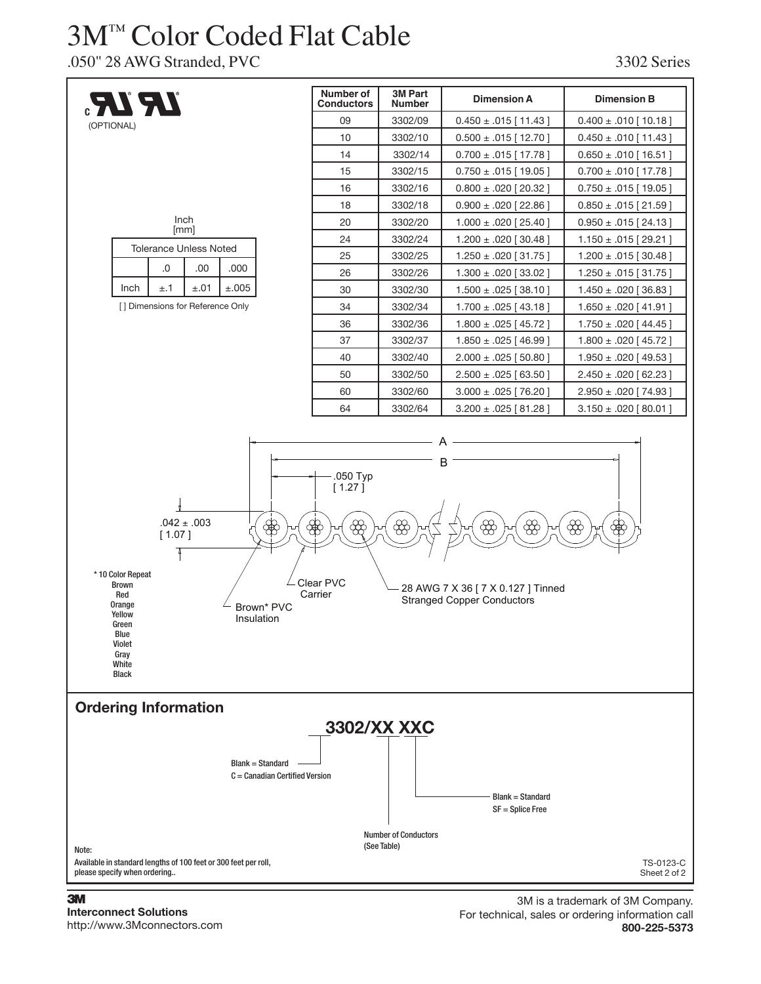## 3M™ Color Coded Flat Cable

.050" 28 AWG Stranded, PVC 3302 Series



### **3M Interconnect Solutions**

http://www.3Mconnectors.com

3M is a trademark of 3M Company. For technical, sales or ordering information call **800-225-5373**